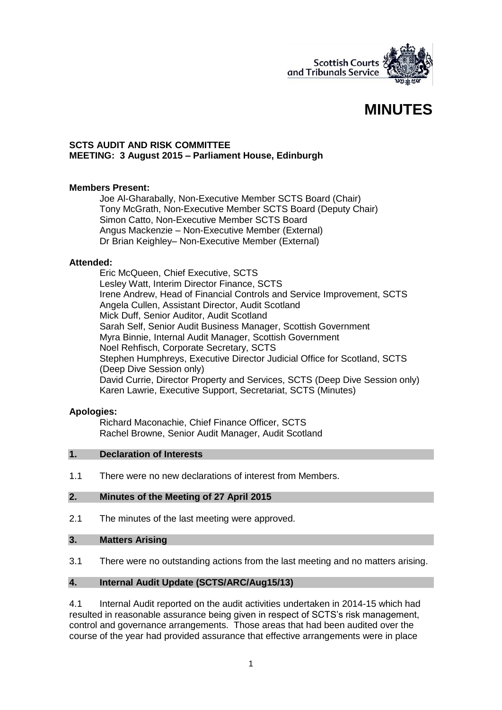

# **MINUTES**

#### **SCTS AUDIT AND RISK COMMITTEE MEETING: 3 August 2015 – Parliament House, Edinburgh**

## **Members Present:**

Joe Al-Gharabally, Non-Executive Member SCTS Board (Chair) Tony McGrath, Non-Executive Member SCTS Board (Deputy Chair) Simon Catto, Non-Executive Member SCTS Board Angus Mackenzie – Non-Executive Member (External) Dr Brian Keighley– Non-Executive Member (External)

#### **Attended:**

Eric McQueen, Chief Executive, SCTS Lesley Watt, Interim Director Finance, SCTS Irene Andrew, Head of Financial Controls and Service Improvement, SCTS Angela Cullen, Assistant Director, Audit Scotland Mick Duff, Senior Auditor, Audit Scotland Sarah Self, Senior Audit Business Manager, Scottish Government Myra Binnie, Internal Audit Manager, Scottish Government Noel Rehfisch, Corporate Secretary, SCTS Stephen Humphreys, Executive Director Judicial Office for Scotland, SCTS (Deep Dive Session only) David Currie, Director Property and Services, SCTS (Deep Dive Session only) Karen Lawrie, Executive Support, Secretariat, SCTS (Minutes)

## **Apologies:**

Richard Maconachie, Chief Finance Officer, SCTS Rachel Browne, Senior Audit Manager, Audit Scotland

#### **1. Declaration of Interests**

1.1 There were no new declarations of interest from Members.

## **2. Minutes of the Meeting of 27 April 2015**

2.1 The minutes of the last meeting were approved.

#### **3. Matters Arising**

3.1 There were no outstanding actions from the last meeting and no matters arising.

## **4. Internal Audit Update (SCTS/ARC/Aug15/13)**

4.1 Internal Audit reported on the audit activities undertaken in 2014-15 which had resulted in reasonable assurance being given in respect of SCTS's risk management, control and governance arrangements. Those areas that had been audited over the course of the year had provided assurance that effective arrangements were in place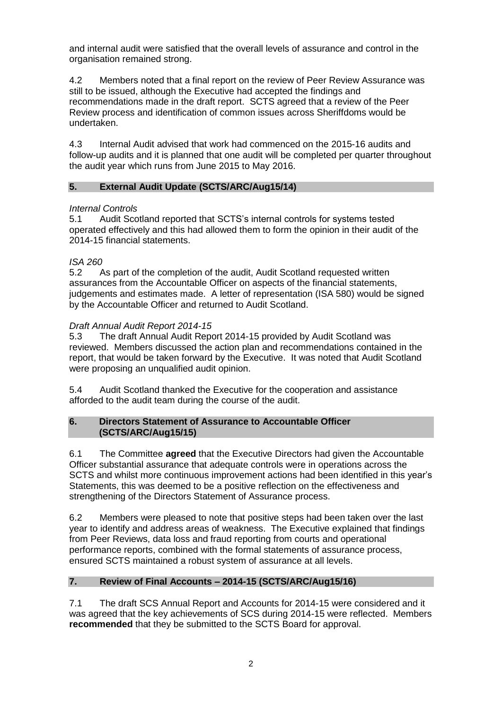and internal audit were satisfied that the overall levels of assurance and control in the organisation remained strong.

4.2 Members noted that a final report on the review of Peer Review Assurance was still to be issued, although the Executive had accepted the findings and recommendations made in the draft report. SCTS agreed that a review of the Peer Review process and identification of common issues across Sheriffdoms would be undertaken.

4.3 Internal Audit advised that work had commenced on the 2015-16 audits and follow-up audits and it is planned that one audit will be completed per quarter throughout the audit year which runs from June 2015 to May 2016.

# **5. External Audit Update (SCTS/ARC/Aug15/14)**

## *Internal Controls*

5.1 Audit Scotland reported that SCTS's internal controls for systems tested operated effectively and this had allowed them to form the opinion in their audit of the 2014-15 financial statements.

## *ISA 260*

5.2 As part of the completion of the audit, Audit Scotland requested written assurances from the Accountable Officer on aspects of the financial statements, judgements and estimates made. A letter of representation (ISA 580) would be signed by the Accountable Officer and returned to Audit Scotland.

## *Draft Annual Audit Report 2014-15*

5.3 The draft Annual Audit Report 2014-15 provided by Audit Scotland was reviewed. Members discussed the action plan and recommendations contained in the report, that would be taken forward by the Executive. It was noted that Audit Scotland were proposing an unqualified audit opinion.

5.4 Audit Scotland thanked the Executive for the cooperation and assistance afforded to the audit team during the course of the audit.

## **6. Directors Statement of Assurance to Accountable Officer (SCTS/ARC/Aug15/15)**

6.1 The Committee **agreed** that the Executive Directors had given the Accountable Officer substantial assurance that adequate controls were in operations across the SCTS and whilst more continuous improvement actions had been identified in this year's Statements, this was deemed to be a positive reflection on the effectiveness and strengthening of the Directors Statement of Assurance process.

6.2 Members were pleased to note that positive steps had been taken over the last year to identify and address areas of weakness. The Executive explained that findings from Peer Reviews, data loss and fraud reporting from courts and operational performance reports, combined with the formal statements of assurance process, ensured SCTS maintained a robust system of assurance at all levels.

# **7. Review of Final Accounts – 2014-15 (SCTS/ARC/Aug15/16)**

7.1 The draft SCS Annual Report and Accounts for 2014-15 were considered and it was agreed that the key achievements of SCS during 2014-15 were reflected. Members **recommended** that they be submitted to the SCTS Board for approval.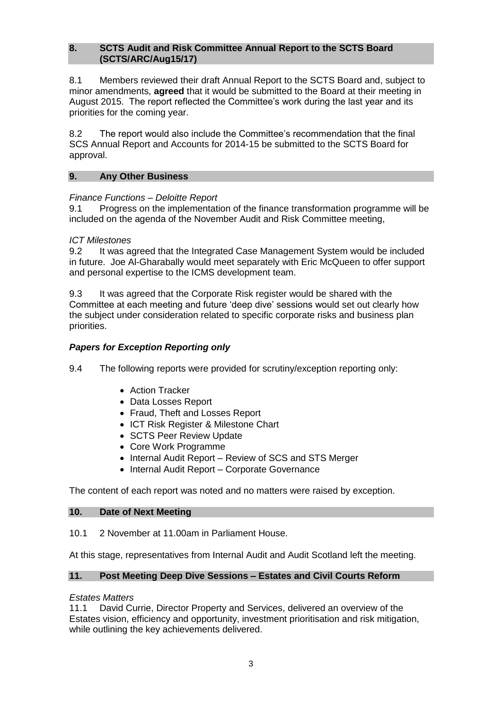#### **8. SCTS Audit and Risk Committee Annual Report to the SCTS Board (SCTS/ARC/Aug15/17)**

8.1 Members reviewed their draft Annual Report to the SCTS Board and, subject to minor amendments, **agreed** that it would be submitted to the Board at their meeting in August 2015. The report reflected the Committee's work during the last year and its priorities for the coming year.

8.2 The report would also include the Committee's recommendation that the final SCS Annual Report and Accounts for 2014-15 be submitted to the SCTS Board for approval.

#### **9. Any Other Business**

## *Finance Functions – Deloitte Report*

9.1 Progress on the implementation of the finance transformation programme will be included on the agenda of the November Audit and Risk Committee meeting,

#### *ICT Milestones*

9.2 It was agreed that the Integrated Case Management System would be included in future. Joe Al-Gharabally would meet separately with Eric McQueen to offer support and personal expertise to the ICMS development team.

9.3 It was agreed that the Corporate Risk register would be shared with the Committee at each meeting and future 'deep dive' sessions would set out clearly how the subject under consideration related to specific corporate risks and business plan priorities.

## *Papers for Exception Reporting only*

- 9.4 The following reports were provided for scrutiny/exception reporting only:
	- Action Tracker
	- Data Losses Report
	- Fraud, Theft and Losses Report
	- ICT Risk Register & Milestone Chart
	- SCTS Peer Review Update
	- Core Work Programme
	- Internal Audit Report Review of SCS and STS Merger
	- Internal Audit Report Corporate Governance

The content of each report was noted and no matters were raised by exception.

#### **10. Date of Next Meeting**

10.1 2 November at 11.00am in Parliament House.

At this stage, representatives from Internal Audit and Audit Scotland left the meeting.

#### **11. Post Meeting Deep Dive Sessions – Estates and Civil Courts Reform**

#### *Estates Matters*

11.1 David Currie, Director Property and Services, delivered an overview of the Estates vision, efficiency and opportunity, investment prioritisation and risk mitigation, while outlining the key achievements delivered.